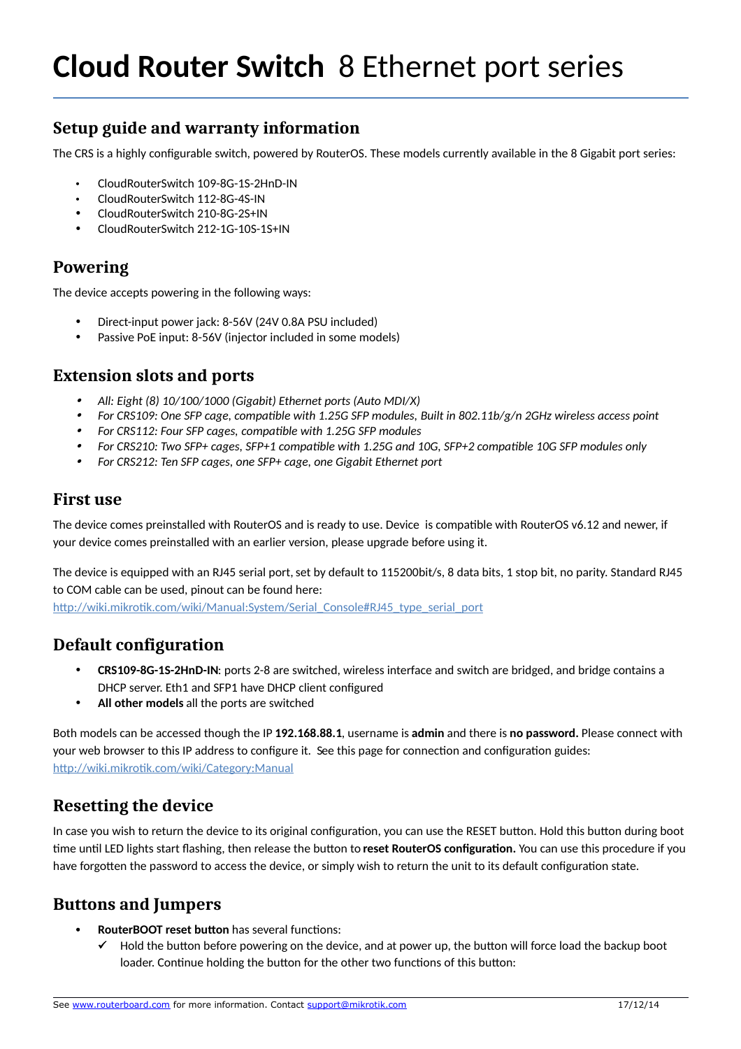# **Setup guide and warranty information**

The CRS is a highly configurable switch, powered by RouterOS. These models currently available in the 8 Gigabit port series:

- CloudRouterSwitch 109-8G-1S-2HnD-IN
- CloudRouterSwitch 112-8G-4S-IN
- CloudRouterSwitch 210-8G-2S+IN
- CloudRouterSwitch 212-1G-10S-1S+IN

#### **Powering**

The device accepts powering in the following ways:

- Direct-input power jack: 8-56V (24V 0.8A PSU included)
- Passive PoE input: 8-56V (injector included in some models)

#### **Extension slots and ports**

- . *All: Eight (8) 10/100/1000 (Gigabit) Ethernet ports (Auto MDI/X)*
- *For CRS109: One SFP cage, compatible with 1.25G SFP modules, Built in 802.11b/g/n 2GHz wireless access point*
- *For CRS112: Four SFP cages, compatible with 1.25G SFP modules*
- . *For CRS210: Two SFP+ cages, SFP+1 compatible with 1.25G and 10G, SFP+2 compatible 10G SFP modules only*
- . *For CRS212: Ten SFP cages, one SFP+ cage, one Gigabit Ethernet port*

#### **First use**

The device comes preinstalled with RouterOS and is ready to use. Device is compatible with RouterOS v6.12 and newer, if your device comes preinstalled with an earlier version, please upgrade before using it.

The device is equipped with an RJ45 serial port, set by default to 115200bit/s, 8 data bits, 1 stop bit, no parity. Standard RJ45 to COM cable can be used, pinout can be found here:

[http://wiki.mikrotik.com/wiki/Manual:System/Serial\\_Console#RJ45\\_type\\_serial\\_port](http://wiki.mikrotik.com/wiki/Manual:System/Serial_Console#RJ45_type_serial_port)

### **Default configuration**

- **CRS109-8G-1S-2HnD-IN**: ports 2-8 are switched, wireless interface and switch are bridged, and bridge contains a DHCP server. Eth1 and SFP1 have DHCP client configured
- **All other models** all the ports are switched

Both models can be accessed though the IP **192.168.88.1**, username is **admin** and there is **no password.** Please connect with your web browser to this IP address to configure it. See this page for connection and configuration guides: <http://wiki.mikrotik.com/wiki/Category:Manual>

### **Resetting the device**

In case you wish to return the device to its original configuration, you can use the RESET button. Hold this button during boot time until LED lights start flashing, then release the button to **reset RouterOS configuration.** You can use this procedure if you have forgotten the password to access the device, or simply wish to return the unit to its default configuration state.

### **Buttons and Jumpers**

- **RouterBOOT reset button** has several functions:
	- $\checkmark$  Hold the button before powering on the device, and at power up, the button will force load the backup boot loader. Continue holding the button for the other two functions of this button: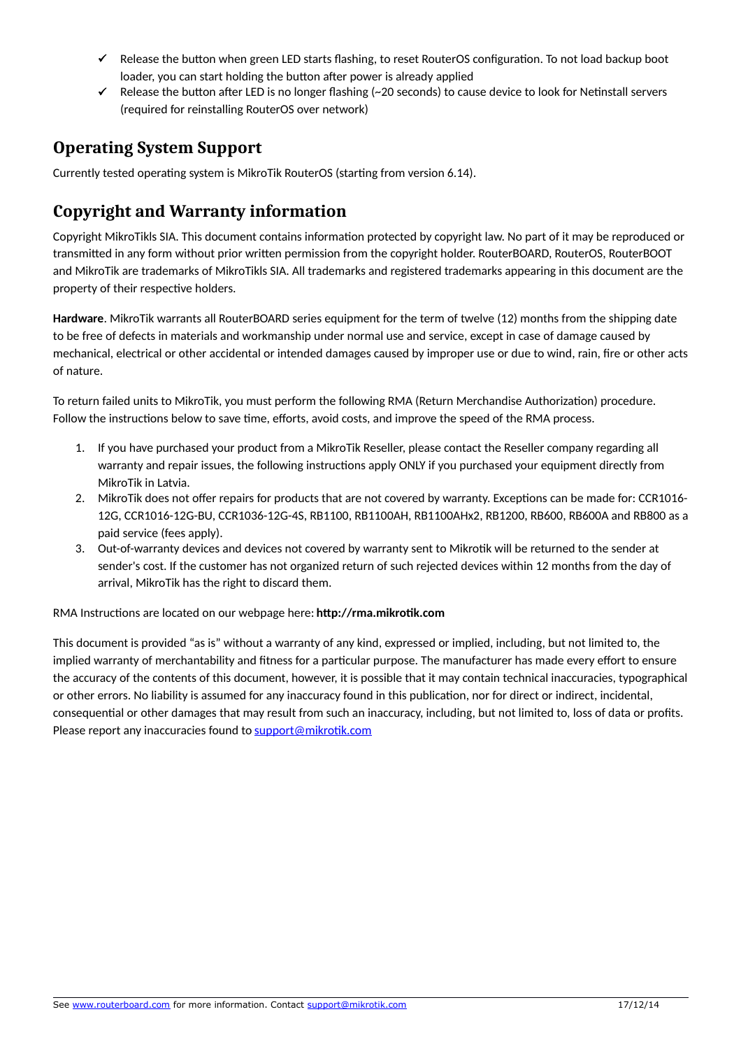- $\checkmark$  Release the button when green LED starts flashing, to reset RouterOS configuration. To not load backup boot loader, you can start holding the button after power is already applied
- $\checkmark$  Release the button after LED is no longer flashing (~20 seconds) to cause device to look for Netinstall servers (required for reinstalling RouterOS over network)

#### **Operating System Support**

Currently tested operating system is MikroTik RouterOS (starting from version 6.14).

# **Copyright and Warranty information**

Copyright MikroTikls SIA. This document contains information protected by copyright law. No part of it may be reproduced or transmitted in any form without prior written permission from the copyright holder. RouterBOARD, RouterOS, RouterBOOT and MikroTik are trademarks of MikroTikls SIA. All trademarks and registered trademarks appearing in this document are the property of their respective holders.

**Hardware**. MikroTik warrants all RouterBOARD series equipment for the term of twelve (12) months from the shipping date to be free of defects in materials and workmanship under normal use and service, except in case of damage caused by mechanical, electrical or other accidental or intended damages caused by improper use or due to wind, rain, fire or other acts of nature.

To return failed units to MikroTik, you must perform the following RMA (Return Merchandise Authorization) procedure. Follow the instructions below to save time, efforts, avoid costs, and improve the speed of the RMA process.

- 1. If you have purchased your product from a MikroTik Reseller, please contact the Reseller company regarding all warranty and repair issues, the following instructions apply ONLY if you purchased your equipment directly from MikroTik in Latvia.
- 2. MikroTik does not offer repairs for products that are not covered by warranty. Exceptions can be made for: CCR1016- 12G, CCR1016-12G-BU, CCR1036-12G-4S, RB1100, RB1100AH, RB1100AHx2, RB1200, RB600, RB600A and RB800 as a paid service (fees apply).
- 3. Out-of-warranty devices and devices not covered by warranty sent to Mikrotik will be returned to the sender at sender's cost. If the customer has not organized return of such rejected devices within 12 months from the day of arrival, MikroTik has the right to discard them.

RMA Instructions are located on our webpage here: **http://rma.mikrotik.com**

This document is provided "as is" without a warranty of any kind, expressed or implied, including, but not limited to, the implied warranty of merchantability and fitness for a particular purpose. The manufacturer has made every effort to ensure the accuracy of the contents of this document, however, it is possible that it may contain technical inaccuracies, typographical or other errors. No liability is assumed for any inaccuracy found in this publication, nor for direct or indirect, incidental, consequential or other damages that may result from such an inaccuracy, including, but not limited to, loss of data or profits. Please report any inaccuracies found to [support@mikrotik.com](mailto:support@mikrotik.com)